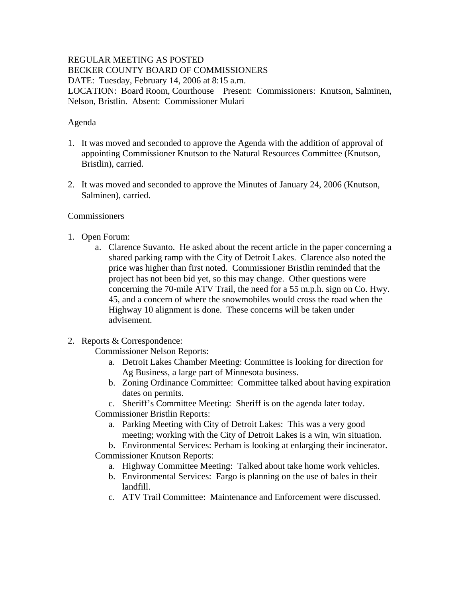# REGULAR MEETING AS POSTED BECKER COUNTY BOARD OF COMMISSIONERS

DATE: Tuesday, February 14, 2006 at 8:15 a.m.

LOCATION: Board Room, Courthouse Present: Commissioners: Knutson, Salminen, Nelson, Bristlin. Absent: Commissioner Mulari

#### Agenda

- 1. It was moved and seconded to approve the Agenda with the addition of approval of appointing Commissioner Knutson to the Natural Resources Committee (Knutson, Bristlin), carried.
- 2. It was moved and seconded to approve the Minutes of January 24, 2006 (Knutson, Salminen), carried.

#### **Commissioners**

- 1. Open Forum:
	- a. Clarence Suvanto. He asked about the recent article in the paper concerning a shared parking ramp with the City of Detroit Lakes. Clarence also noted the price was higher than first noted. Commissioner Bristlin reminded that the project has not been bid yet, so this may change. Other questions were concerning the 70-mile ATV Trail, the need for a 55 m.p.h. sign on Co. Hwy. 45, and a concern of where the snowmobiles would cross the road when the Highway 10 alignment is done. These concerns will be taken under advisement.

## 2. Reports & Correspondence:

Commissioner Nelson Reports:

- a. Detroit Lakes Chamber Meeting: Committee is looking for direction for Ag Business, a large part of Minnesota business.
- b. Zoning Ordinance Committee: Committee talked about having expiration dates on permits.
- c. Sheriff's Committee Meeting: Sheriff is on the agenda later today.
- Commissioner Bristlin Reports:
	- a. Parking Meeting with City of Detroit Lakes: This was a very good meeting; working with the City of Detroit Lakes is a win, win situation.
- b. Environmental Services: Perham is looking at enlarging their incinerator. Commissioner Knutson Reports:
	- a. Highway Committee Meeting: Talked about take home work vehicles.
	- b. Environmental Services: Fargo is planning on the use of bales in their landfill.
	- c. ATV Trail Committee: Maintenance and Enforcement were discussed.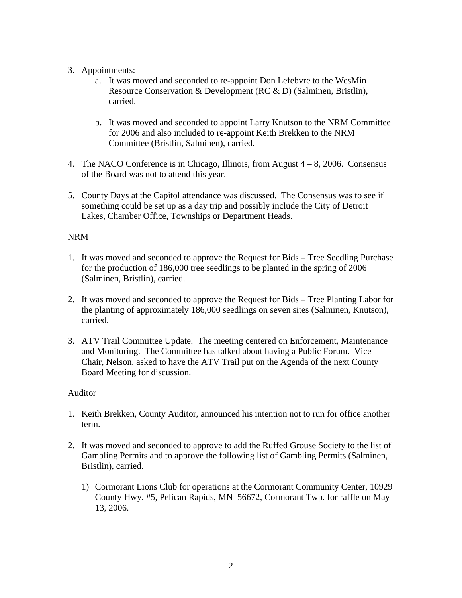## 3. Appointments:

- a. It was moved and seconded to re-appoint Don Lefebvre to the WesMin Resource Conservation & Development (RC & D) (Salminen, Bristlin), carried.
- b. It was moved and seconded to appoint Larry Knutson to the NRM Committee for 2006 and also included to re-appoint Keith Brekken to the NRM Committee (Bristlin, Salminen), carried.
- 4. The NACO Conference is in Chicago, Illinois, from August 4 8, 2006. Consensus of the Board was not to attend this year.
- 5. County Days at the Capitol attendance was discussed. The Consensus was to see if something could be set up as a day trip and possibly include the City of Detroit Lakes, Chamber Office, Townships or Department Heads.

# NRM

- 1. It was moved and seconded to approve the Request for Bids Tree Seedling Purchase for the production of 186,000 tree seedlings to be planted in the spring of 2006 (Salminen, Bristlin), carried.
- 2. It was moved and seconded to approve the Request for Bids Tree Planting Labor for the planting of approximately 186,000 seedlings on seven sites (Salminen, Knutson), carried.
- 3. ATV Trail Committee Update. The meeting centered on Enforcement, Maintenance and Monitoring. The Committee has talked about having a Public Forum. Vice Chair, Nelson, asked to have the ATV Trail put on the Agenda of the next County Board Meeting for discussion.

## Auditor

- 1. Keith Brekken, County Auditor, announced his intention not to run for office another term.
- 2. It was moved and seconded to approve to add the Ruffed Grouse Society to the list of Gambling Permits and to approve the following list of Gambling Permits (Salminen, Bristlin), carried.
	- 1) Cormorant Lions Club for operations at the Cormorant Community Center, 10929 County Hwy. #5, Pelican Rapids, MN 56672, Cormorant Twp. for raffle on May 13, 2006.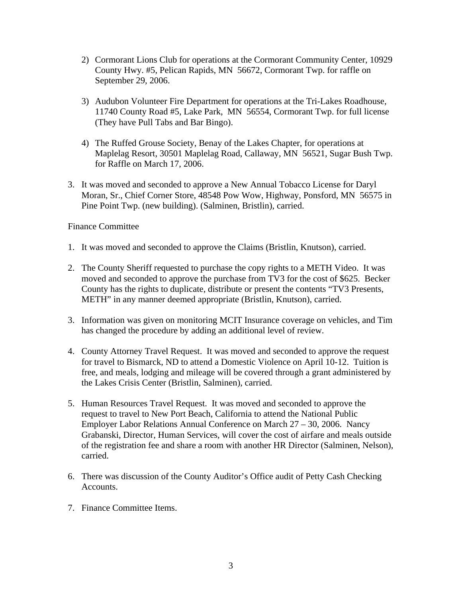- 2) Cormorant Lions Club for operations at the Cormorant Community Center, 10929 County Hwy. #5, Pelican Rapids, MN 56672, Cormorant Twp. for raffle on September 29, 2006.
- 3) Audubon Volunteer Fire Department for operations at the Tri-Lakes Roadhouse, 11740 County Road #5, Lake Park, MN 56554, Cormorant Twp. for full license (They have Pull Tabs and Bar Bingo).
- 4) The Ruffed Grouse Society, Benay of the Lakes Chapter, for operations at Maplelag Resort, 30501 Maplelag Road, Callaway, MN 56521, Sugar Bush Twp. for Raffle on March 17, 2006.
- 3. It was moved and seconded to approve a New Annual Tobacco License for Daryl Moran, Sr., Chief Corner Store, 48548 Pow Wow, Highway, Ponsford, MN 56575 in Pine Point Twp. (new building). (Salminen, Bristlin), carried.

Finance Committee

- 1. It was moved and seconded to approve the Claims (Bristlin, Knutson), carried.
- 2. The County Sheriff requested to purchase the copy rights to a METH Video. It was moved and seconded to approve the purchase from TV3 for the cost of \$625. Becker County has the rights to duplicate, distribute or present the contents "TV3 Presents, METH" in any manner deemed appropriate (Bristlin, Knutson), carried.
- 3. Information was given on monitoring MCIT Insurance coverage on vehicles, and Tim has changed the procedure by adding an additional level of review.
- 4. County Attorney Travel Request. It was moved and seconded to approve the request for travel to Bismarck, ND to attend a Domestic Violence on April 10-12. Tuition is free, and meals, lodging and mileage will be covered through a grant administered by the Lakes Crisis Center (Bristlin, Salminen), carried.
- 5. Human Resources Travel Request. It was moved and seconded to approve the request to travel to New Port Beach, California to attend the National Public Employer Labor Relations Annual Conference on March 27 – 30, 2006. Nancy Grabanski, Director, Human Services, will cover the cost of airfare and meals outside of the registration fee and share a room with another HR Director (Salminen, Nelson), carried.
- 6. There was discussion of the County Auditor's Office audit of Petty Cash Checking Accounts.
- 7. Finance Committee Items.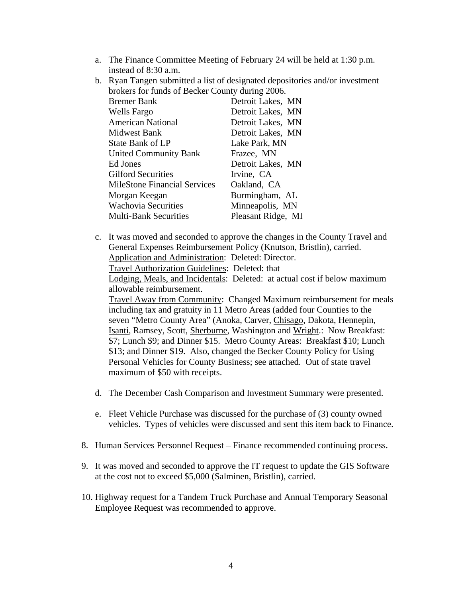- a. The Finance Committee Meeting of February 24 will be held at 1:30 p.m. instead of 8:30 a.m.
- b. Ryan Tangen submitted a list of designated depositories and/or investment brokers for funds of Becker County during 2006. Bremer Bank Detroit Lakes, MN Wells Fargo Detroit Lakes, MN American National Detroit Lakes, MN Midwest Bank Detroit Lakes, MN State Bank of LP<br>
Lake Park, MN United Community Bank Frazee, MN Ed Jones Detroit Lakes, MN Gilford Securities Irvine, CA MileStone Financial Services Oakland, CA Morgan Keegan Burmingham, AL Wachovia Securities Minneapolis, MN Multi-Bank Securities Pleasant Ridge, MI
- c. It was moved and seconded to approve the changes in the County Travel and General Expenses Reimbursement Policy (Knutson, Bristlin), carried. Application and Administration: Deleted: Director. Travel Authorization Guidelines: Deleted: that Lodging, Meals, and Incidentals: Deleted: at actual cost if below maximum allowable reimbursement. Travel Away from Community: Changed Maximum reimbursement for meals including tax and gratuity in 11 Metro Areas (added four Counties to the seven "Metro County Area" (Anoka, Carver, Chisago, Dakota, Hennepin, Isanti, Ramsey, Scott, Sherburne, Washington and Wright.: Now Breakfast: \$7; Lunch \$9; and Dinner \$15. Metro County Areas: Breakfast \$10; Lunch \$13; and Dinner \$19. Also, changed the Becker County Policy for Using Personal Vehicles for County Business; see attached. Out of state travel maximum of \$50 with receipts.
- d. The December Cash Comparison and Investment Summary were presented.
- e. Fleet Vehicle Purchase was discussed for the purchase of (3) county owned vehicles. Types of vehicles were discussed and sent this item back to Finance.
- 8. Human Services Personnel Request Finance recommended continuing process.
- 9. It was moved and seconded to approve the IT request to update the GIS Software at the cost not to exceed \$5,000 (Salminen, Bristlin), carried.
- 10. Highway request for a Tandem Truck Purchase and Annual Temporary Seasonal Employee Request was recommended to approve.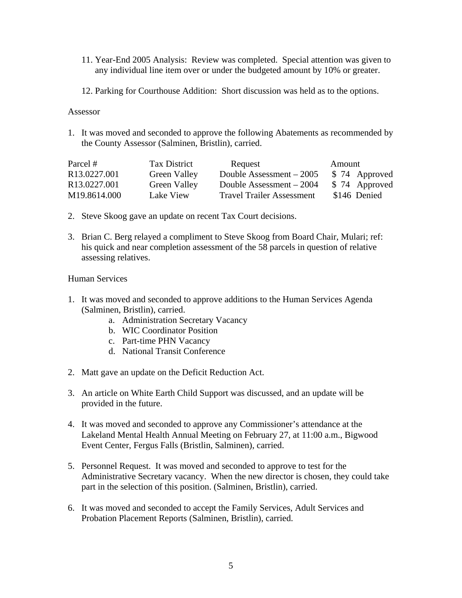- 11. Year-End 2005 Analysis: Review was completed. Special attention was given to any individual line item over or under the budgeted amount by 10% or greater.
- 12. Parking for Courthouse Addition: Short discussion was held as to the options.

#### Assessor

1. It was moved and seconded to approve the following Abatements as recommended by the County Assessor (Salminen, Bristlin), carried.

| Parcel #                 | Tax District        | Request                          | Amount        |
|--------------------------|---------------------|----------------------------------|---------------|
| R <sub>13.0227.001</sub> | <b>Green Valley</b> | Double Assessment $-2005$        | \$74 Approved |
| R <sub>13.0227.001</sub> | <b>Green Valley</b> | Double Assessment – 2004         | \$74 Approved |
| M19.8614.000             | Lake View           | <b>Travel Trailer Assessment</b> | \$146 Denied  |

- 2. Steve Skoog gave an update on recent Tax Court decisions.
- 3. Brian C. Berg relayed a compliment to Steve Skoog from Board Chair, Mulari; ref: his quick and near completion assessment of the 58 parcels in question of relative assessing relatives.

#### Human Services

- 1. It was moved and seconded to approve additions to the Human Services Agenda (Salminen, Bristlin), carried.
	- a. Administration Secretary Vacancy
	- b. WIC Coordinator Position
	- c. Part-time PHN Vacancy
	- d. National Transit Conference
- 2. Matt gave an update on the Deficit Reduction Act.
- 3. An article on White Earth Child Support was discussed, and an update will be provided in the future.
- 4. It was moved and seconded to approve any Commissioner's attendance at the Lakeland Mental Health Annual Meeting on February 27, at 11:00 a.m., Bigwood Event Center, Fergus Falls (Bristlin, Salminen), carried.
- 5. Personnel Request. It was moved and seconded to approve to test for the Administrative Secretary vacancy. When the new director is chosen, they could take part in the selection of this position. (Salminen, Bristlin), carried.
- 6. It was moved and seconded to accept the Family Services, Adult Services and Probation Placement Reports (Salminen, Bristlin), carried.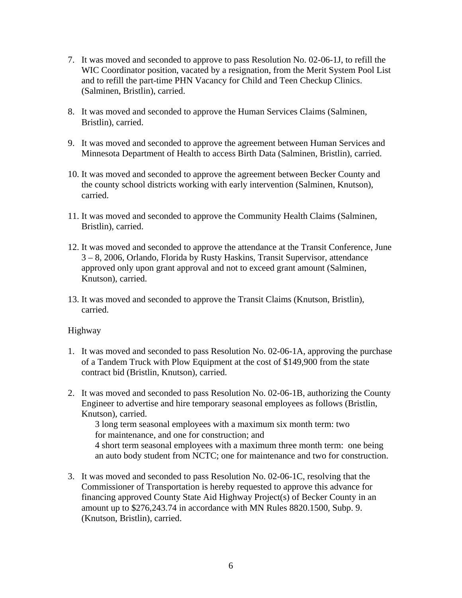- 7. It was moved and seconded to approve to pass Resolution No. 02-06-1J, to refill the WIC Coordinator position, vacated by a resignation, from the Merit System Pool List and to refill the part-time PHN Vacancy for Child and Teen Checkup Clinics. (Salminen, Bristlin), carried.
- 8. It was moved and seconded to approve the Human Services Claims (Salminen, Bristlin), carried.
- 9. It was moved and seconded to approve the agreement between Human Services and Minnesota Department of Health to access Birth Data (Salminen, Bristlin), carried.
- 10. It was moved and seconded to approve the agreement between Becker County and the county school districts working with early intervention (Salminen, Knutson), carried.
- 11. It was moved and seconded to approve the Community Health Claims (Salminen, Bristlin), carried.
- 12. It was moved and seconded to approve the attendance at the Transit Conference, June 3 – 8, 2006, Orlando, Florida by Rusty Haskins, Transit Supervisor, attendance approved only upon grant approval and not to exceed grant amount (Salminen, Knutson), carried.
- 13. It was moved and seconded to approve the Transit Claims (Knutson, Bristlin), carried.

## Highway

- 1. It was moved and seconded to pass Resolution No. 02-06-1A, approving the purchase of a Tandem Truck with Plow Equipment at the cost of \$149,900 from the state contract bid (Bristlin, Knutson), carried.
- 2. It was moved and seconded to pass Resolution No. 02-06-1B, authorizing the County Engineer to advertise and hire temporary seasonal employees as follows (Bristlin, Knutson), carried.

3 long term seasonal employees with a maximum six month term: two for maintenance, and one for construction; and 4 short term seasonal employees with a maximum three month term: one being

an auto body student from NCTC; one for maintenance and two for construction.

3. It was moved and seconded to pass Resolution No. 02-06-1C, resolving that the Commissioner of Transportation is hereby requested to approve this advance for financing approved County State Aid Highway Project(s) of Becker County in an amount up to \$276,243.74 in accordance with MN Rules 8820.1500, Subp. 9. (Knutson, Bristlin), carried.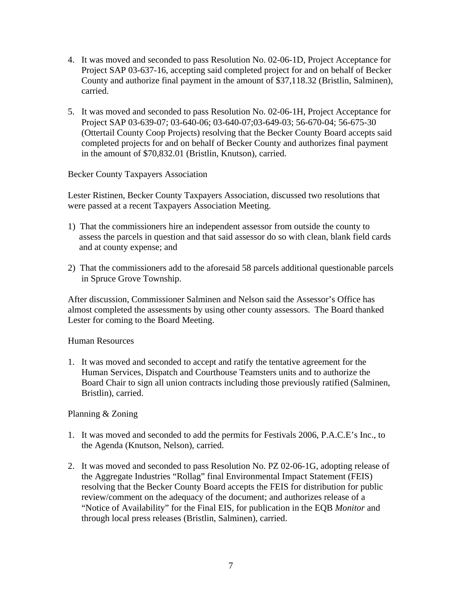- 4. It was moved and seconded to pass Resolution No. 02-06-1D, Project Acceptance for Project SAP 03-637-16, accepting said completed project for and on behalf of Becker County and authorize final payment in the amount of \$37,118.32 (Bristlin, Salminen), carried.
- 5. It was moved and seconded to pass Resolution No. 02-06-1H, Project Acceptance for Project SAP 03-639-07; 03-640-06; 03-640-07;03-649-03; 56-670-04; 56-675-30 (Ottertail County Coop Projects) resolving that the Becker County Board accepts said completed projects for and on behalf of Becker County and authorizes final payment in the amount of \$70,832.01 (Bristlin, Knutson), carried.

Becker County Taxpayers Association

Lester Ristinen, Becker County Taxpayers Association, discussed two resolutions that were passed at a recent Taxpayers Association Meeting.

- 1) That the commissioners hire an independent assessor from outside the county to assess the parcels in question and that said assessor do so with clean, blank field cards and at county expense; and
- 2) That the commissioners add to the aforesaid 58 parcels additional questionable parcels in Spruce Grove Township.

After discussion, Commissioner Salminen and Nelson said the Assessor's Office has almost completed the assessments by using other county assessors. The Board thanked Lester for coming to the Board Meeting.

Human Resources

1. It was moved and seconded to accept and ratify the tentative agreement for the Human Services, Dispatch and Courthouse Teamsters units and to authorize the Board Chair to sign all union contracts including those previously ratified (Salminen, Bristlin), carried.

## Planning & Zoning

- 1. It was moved and seconded to add the permits for Festivals 2006, P.A.C.E's Inc., to the Agenda (Knutson, Nelson), carried.
- 2. It was moved and seconded to pass Resolution No. PZ 02-06-1G, adopting release of the Aggregate Industries "Rollag" final Environmental Impact Statement (FEIS) resolving that the Becker County Board accepts the FEIS for distribution for public review/comment on the adequacy of the document; and authorizes release of a "Notice of Availability" for the Final EIS, for publication in the EQB *Monitor* and through local press releases (Bristlin, Salminen), carried.